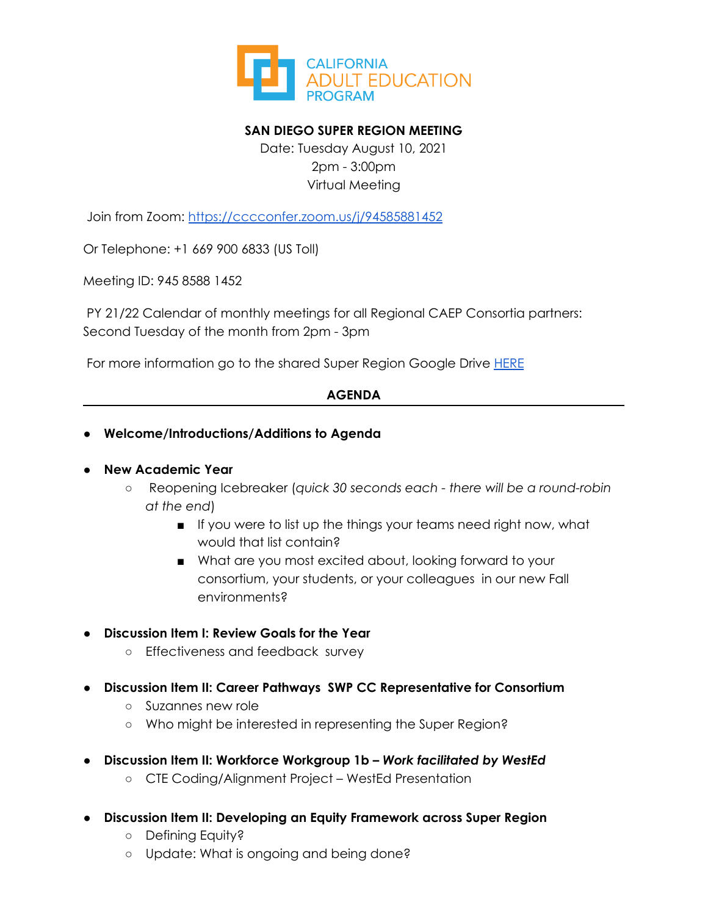

# **SAN DIEGO SUPER REGION MEETING**

Date: Tuesday August 10, 2021 2pm - 3:00pm Virtual Meeting

Join from Zoom: <https://cccconfer.zoom.us/j/94585881452>

Or Telephone: +1 669 900 6833 (US Toll)

Meeting ID: 945 8588 1452

PY 21/22 Calendar of monthly meetings for all Regional CAEP Consortia partners: Second Tuesday of the month from 2pm - 3pm

For more information go to the shared Super Region Google Drive [HERE](https://drive.google.com/drive/folders/1ecyNAJ-ze7fPFNC3dOThh3mLvyPohte1)

# **AGENDA**

# **● Welcome/Introductions/Additions to Agenda**

### ● **New Academic Year**

- Reopening Icebreaker (*quick 30 seconds each - there will be a round-robin at the end*)
	- If you were to list up the things your teams need right now, what would that list contain?
	- What are you most excited about, looking forward to your consortium, your students, or your colleagues in our new Fall environments?

### **● Discussion Item I: Review Goals for the Year**

- Effectiveness and feedback survey
- **● Discussion Item II: Career Pathways SWP CC Representative for Consortium**
	- Suzannes new role
	- Who might be interested in representing the Super Region?
- **● Discussion Item II: Workforce Workgroup 1b –** *Work facilitated by WestEd*
	- CTE Coding/Alignment Project WestEd Presentation
- **● Discussion Item II: Developing an Equity Framework across Super Region**
	- Defining Equity?
	- Update: What is ongoing and being done?